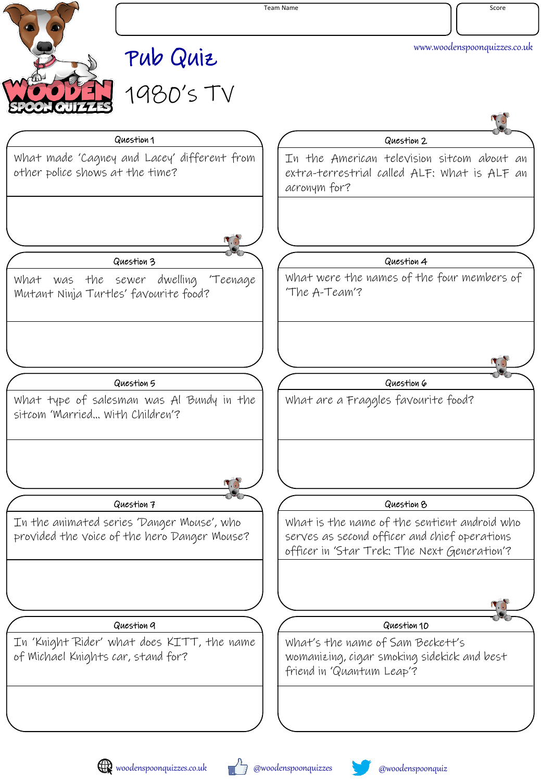